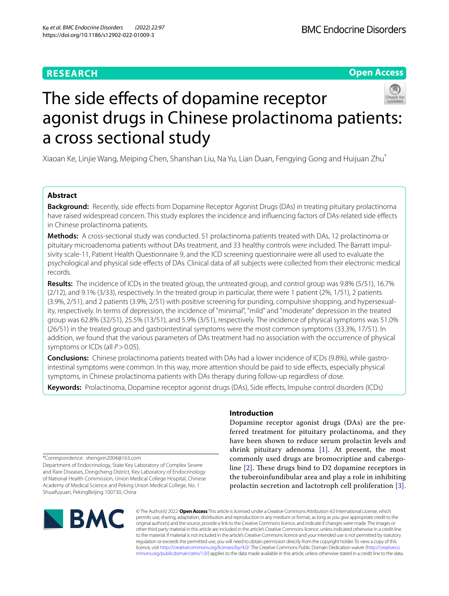## **RESEARCH**

**Open Access**

# The side effects of dopamine receptor agonist drugs in Chinese prolactinoma patients: a cross sectional study

Xiaoan Ke, Linjie Wang, Meiping Chen, Shanshan Liu, Na Yu, Lian Duan, Fengying Gong and Huijuan Zhu\*

## **Abstract**

**Background:** Recently, side effects from Dopamine Receptor Agonist Drugs (DAs) in treating pituitary prolactinoma have raised widespread concern. This study explores the incidence and infuencing factors of DAs-related side efects in Chinese prolactinoma patients.

**Methods:** A cross-sectional study was conducted. 51 prolactinoma patients treated with DAs, 12 prolactinoma or pituitary microadenoma patients without DAs treatment, and 33 healthy controls were included. The Barratt impulsivity scale-11, Patient Health Questionnaire 9, and the ICD screening questionnaire were all used to evaluate the psychological and physical side efects of DAs. Clinical data of all subjects were collected from their electronic medical records.

**Results:** The incidence of ICDs in the treated group, the untreated group, and control group was 9.8% (5/51), 16.7% (2/12), and 9.1% (3/33), respectively. In the treated group in particular, there were 1 patient (2%, 1/51), 2 patients (3.9%, 2/51), and 2 patients (3.9%, 2/51) with positive screening for punding, compulsive shopping, and hypersexuality, respectively. In terms of depression, the incidence of "minimal", "mild" and "moderate" depression in the treated group was 62.8% (32/51), 25.5% (13/51), and 5.9% (3/51), respectively. The incidence of physical symptoms was 51.0% (26/51) in the treated group and gastrointestinal symptoms were the most common symptoms (33.3%, 17/51). In addition, we found that the various parameters of DAs treatment had no association with the occurrence of physical symptoms or ICDs (all *P* > 0.05).

**Conclusions:** Chinese prolactinoma patients treated with DAs had a lower incidence of ICDs (9.8%), while gastrointestinal symptoms were common. In this way, more attention should be paid to side efects, especially physical symptoms, in Chinese prolactinoma patients with DAs therapy during follow-up regardless of dose.

**Keywords:** Prolactinoma, Dopamine receptor agonist drugs (DAs), Side efects, Impulse control disorders (ICDs)

\*Correspondence: shengxin2004@163.com

Department of Endocrinology, State Key Laboratory of Complex Severe and Rare Diseases, Dongcheng District, Key Laboratory of Endocrinology of National Health Commission, Union Medical College Hospital, Chinese Academy of Medical Science and Peking Union Medical College, No. 1 Shuaifuyuan, PekingBeijing 100730, China

## **Introduction**

Dopamine receptor agonist drugs (DAs) are the preferred treatment for pituitary prolactinoma, and they have been shown to reduce serum prolactin levels and shrink pituitary adenoma  $[1]$  $[1]$ . At present, the most commonly used drugs are bromocriptine and cabergoline  $[2]$  $[2]$ . These drugs bind to D2 dopamine receptors in the tuberoinfundibular area and play a role in inhibiting prolactin secretion and lactotroph cell proliferation [[3](#page-6-2)].



© The Author(s) 2022. **Open Access** This article is licensed under a Creative Commons Attribution 4.0 International License, which permits use, sharing, adaptation, distribution and reproduction in any medium or format, as long as you give appropriate credit to the original author(s) and the source, provide a link to the Creative Commons licence, and indicate if changes were made. The images or other third party material in this article are included in the article's Creative Commons licence, unless indicated otherwise in a credit line to the material. If material is not included in the article's Creative Commons licence and your intended use is not permitted by statutory regulation or exceeds the permitted use, you will need to obtain permission directly from the copyright holder. To view a copy of this licence, visit [http://creativecommons.org/licenses/by/4.0/.](http://creativecommons.org/licenses/by/4.0/) The Creative Commons Public Domain Dedication waiver ([http://creativeco](http://creativecommons.org/publicdomain/zero/1.0/) [mmons.org/publicdomain/zero/1.0/](http://creativecommons.org/publicdomain/zero/1.0/)) applies to the data made available in this article, unless otherwise stated in a credit line to the data.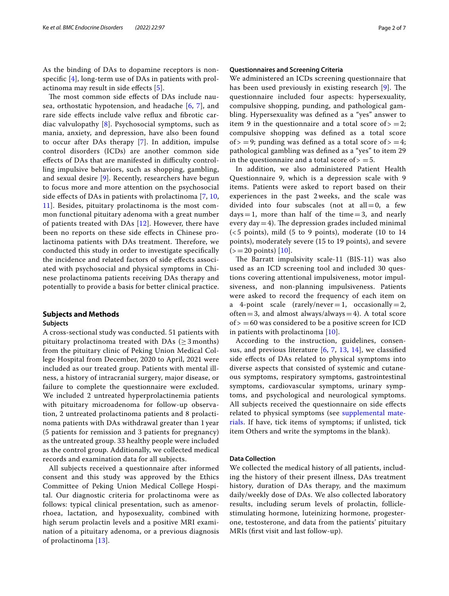As the binding of DAs to dopamine receptors is nonspecifc [\[4](#page-6-3)], long-term use of DAs in patients with prolactinoma may result in side efects [[5\]](#page-6-4).

The most common side effects of DAs include nausea, orthostatic hypotension, and headache [[6,](#page-6-5) [7\]](#page-6-6), and rare side efects include valve refux and fbrotic cardiac valvulopathy  $[8]$  $[8]$  $[8]$ . Psychosocial symptoms, such as mania, anxiety, and depression, have also been found to occur after DAs therapy [[7\]](#page-6-6). In addition, impulse control disorders (ICDs) are another common side effects of DAs that are manifested in difficulty controlling impulsive behaviors, such as shopping, gambling, and sexual desire [\[9](#page-6-8)]. Recently, researchers have begun to focus more and more attention on the psychosocial side efects of DAs in patients with prolactinoma [\[7](#page-6-6), [10](#page-6-9), [11\]](#page-6-10). Besides, pituitary prolactinoma is the most common functional pituitary adenoma with a great number of patients treated with DAs [[12\]](#page-6-11). However, there have been no reports on these side efects in Chinese prolactinoma patients with DAs treatment. Therefore, we conducted this study in order to investigate specifcally the incidence and related factors of side efects associated with psychosocial and physical symptoms in Chinese prolactinoma patients receiving DAs therapy and potentially to provide a basis for better clinical practice.

## **Subjects and Methods Subjects**

A cross-sectional study was conducted. 51 patients with pituitary prolactinoma treated with DAs ( $\geq$  3 months) from the pituitary clinic of Peking Union Medical College Hospital from December, 2020 to April, 2021 were included as our treated group. Patients with mental illness, a history of intracranial surgery, major disease, or failure to complete the questionnaire were excluded. We included 2 untreated hyperprolactinemia patients with pituitary microadenoma for follow-up observation, 2 untreated prolactinoma patients and 8 prolactinoma patients with DAs withdrawal greater than 1 year (5 patients for remission and 3 patients for pregnancy) as the untreated group. 33 healthy people were included as the control group. Additionally, we collected medical records and examination data for all subjects.

All subjects received a questionnaire after informed consent and this study was approved by the Ethics Committee of Peking Union Medical College Hospital. Our diagnostic criteria for prolactinoma were as follows: typical clinical presentation, such as amenorrhoea, lactation, and hyposexuality, combined with high serum prolactin levels and a positive MRI examination of a pituitary adenoma, or a previous diagnosis of prolactinoma [[13\]](#page-6-12).

#### **Questionnaires and Screening Criteria**

We administered an ICDs screening questionnaire that has been used previously in existing research  $[9]$  $[9]$ . The questionnaire included four aspects: hypersexuality, compulsive shopping, punding, and pathological gambling. Hypersexuality was defned as a "yes" answer to item 9 in the questionnaire and a total score of  $> = 2$ ; compulsive shopping was defned as a total score of  $> = 9$ ; punding was defined as a total score of  $> = 4$ ; pathological gambling was defned as a "yes" to item 29 in the questionnaire and a total score of  $> = 5$ .

In addition, we also administered Patient Health Questionnaire 9, which is a depression scale with 9 items. Patients were asked to report based on their experiences in the past 2 weeks, and the scale was divided into four subscales (not at  $all = 0$ , a few  $days=1$ , more than half of the time=3, and nearly every day  $=4$ ). The depression grades included minimal  $(< 5$  points), mild  $(5$  to 9 points), moderate  $(10 \text{ to } 14)$ points), moderately severe (15 to 19 points), and severe  $(>=20 \text{ points})$  [\[10](#page-6-9)].

The Barratt impulsivity scale-11  $(BIS-11)$  was also used as an ICD screening tool and included 30 questions covering attentional impulsiveness, motor impulsiveness, and non-planning impulsiveness. Patients were asked to record the frequency of each item on a 4-point scale (rarely/never = 1, occasionally = 2, often=3, and almost always/always=4). A total score  $of > =60$  was considered to be a positive screen for ICD in patients with prolactinoma [\[10](#page-6-9)].

According to the instruction, guidelines, consensus, and previous literature [[6,](#page-6-5) [7](#page-6-6), [13](#page-6-12), [14](#page-6-13)], we classifed side efects of DAs related to physical symptoms into diverse aspects that consisted of systemic and cutaneous symptoms, respiratory symptoms, gastrointestinal symptoms, cardiovascular symptoms, urinary symptoms, and psychological and neurological symptoms. All subjects received the questionnaire on side efects related to physical symptoms (see [supplemental mate](#page-5-0)[rials](#page-5-0). If have, tick items of symptoms; if unlisted, tick item Others and write the symptoms in the blank).

### **Data Collection**

We collected the medical history of all patients, including the history of their present illness, DAs treatment history, duration of DAs therapy, and the maximum daily/weekly dose of DAs. We also collected laboratory results, including serum levels of prolactin, folliclestimulating hormone, luteinizing hormone, progesterone, testosterone, and data from the patients' pituitary MRIs (frst visit and last follow-up).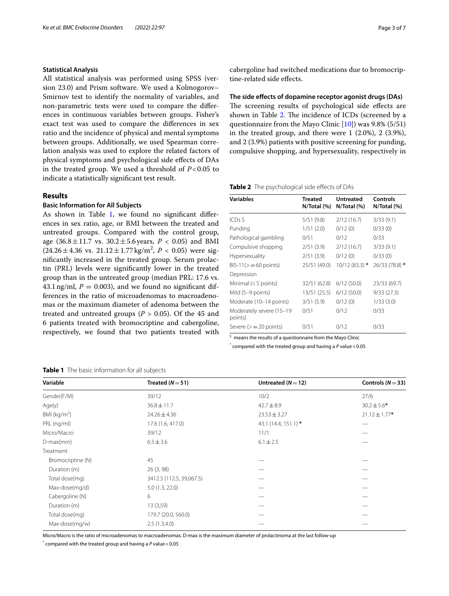## **Statistical Analysis**

All statistical analysis was performed using SPSS (version 23.0) and Prism software. We used a Kolmogorov– Smirnov test to identify the normality of variables, and non-parametric tests were used to compare the diferences in continuous variables between groups. Fisher's exact test was used to compare the diferences in sex ratio and the incidence of physical and mental symptoms between groups. Additionally, we used Spearman correlation analysis was used to explore the related factors of physical symptoms and psychological side efects of DAs in the treated group. We used a threshold of *P*<0.05 to indicate a statistically signifcant test result.

## **Results**

## **Basic Information for All Subjects**

As shown in Table [1,](#page-2-0) we found no significant differences in sex ratio, age, or BMI between the treated and untreated groups. Compared with the control group, age  $(36.8 \pm 11.7 \text{ vs. } 30.2 \pm 5.6 \text{ years}, P < 0.05)$  and BMI  $(24.26 \pm 4.36 \text{ vs. } 21.12 \pm 1.77 \text{ kg/m}^2, P < 0.05)$  were signifcantly increased in the treated group. Serum prolactin (PRL) levels were signifcantly lower in the treated group than in the untreated group (median PRL: 17.6 vs. 43.1 ng/ml,  $P = 0.003$ ), and we found no significant differences in the ratio of microadenomas to macroadenomas or the maximum diameter of adenoma between the treated and untreated groups ( $P > 0.05$ ). Of the 45 and 6 patients treated with bromocriptine and cabergoline, respectively, we found that two patients treated with

## <span id="page-2-0"></span>**Table 1** The basic information for all subjects

cabergoline had switched medications due to bromocriptine-related side efects.

**The side efects of dopamine receptor agonist drugs (DAs)** The screening results of psychological side effects are shown in Table [2](#page-2-1). The incidence of ICDs (screened by a questionnaire from the Mayo Clinic  $[10]$  $[10]$ ) was 9.8% (5/51) in the treated group, and there were 1 (2.0%), 2 (3.9%), and 2 (3.9%) patients with positive screening for punding, compulsive shopping, and hypersexuality, respectively in

<span id="page-2-1"></span>**Table 2** The psychological side effects of DAs

| <b>Variables</b>                    | <b>Treated</b><br>N/Total (%) | <b>Untreated</b><br>N/Total (%) | Controls<br>N/Total (%) |
|-------------------------------------|-------------------------------|---------------------------------|-------------------------|
| ICDs \$                             | 5/51 (9.8)                    | 2/12(16.7)                      | 3/33(9.1)               |
| Punding                             | 1/51(2.0)                     | 0/12(0)                         | 0/33(0)                 |
| Pathological gambling               | 0/51                          | 0/12                            | 0/33                    |
| Compulsive shopping                 | 2/51(3.9)                     | 2/12(16.7)                      | 3/33(9.1)               |
| Hypersexuality                      | 2/51(3.9)                     | 0/12(0)                         | 0/33(0)                 |
| $BIS-11(>=60 points)$               | 25/51 (49.0)                  | $10/12(83.3)$ *                 | 26/33 (78.8) *          |
| Depression                          |                               |                                 |                         |
| Minimal $(< 5$ points)              | 32/51 (62.8)                  | 6/12(50.0)                      | 23/33 (69.7)            |
| Mild (5–9 points)                   | 13/51 (25.5)                  | 6/12(50.0)                      | 9/33(27.3)              |
| Moderate (10-14 points)             | 3/51(5.9)                     | 0/12(0)                         | 1/33(3.0)               |
| Moderately severe (15-19<br>points) | 0/51                          | 0/12                            | 0/33                    |
| Severe $(>=20$ points)              | 0/51                          | 0/12                            | 0/33                    |

<sup>\$</sup> means the results of a questionnaire from the Mayo Clinic

\* compared with the treated group and having a *P* value<0.05

| when the basic implication for an sappects |                          |                      |                       |  |  |  |
|--------------------------------------------|--------------------------|----------------------|-----------------------|--|--|--|
| Variable                                   | Treated $(N=51)$         | Untreated $(N=12)$   | Controls ( $N = 33$ ) |  |  |  |
| Gender(F/M)                                | 39/12                    | 10/2                 | 27/6                  |  |  |  |
| Age(y)                                     | $36.8 \pm 11.7$          | $42.7 \pm 8.9$       | $30.2 \pm 5.6*$       |  |  |  |
| $BMl$ (kg/m <sup>2</sup> )                 | $24.26 \pm 4.36$         | $23.53 \pm 3.27$     | $21.12 \pm 1.77*$     |  |  |  |
| PRL (ng/ml)                                | 17.6 (1.6, 417.0)        | 43.1 (14.4, 151.1) * |                       |  |  |  |
| Micro/Macro                                | 39/12                    | 11/1                 |                       |  |  |  |
| $D$ -max $(mm)$                            | $6.5 \pm 3.6$            | $6.1 \pm 2.5$        |                       |  |  |  |
| Treatment                                  |                          |                      |                       |  |  |  |
| Bromocriptine (N)                          | 45                       |                      |                       |  |  |  |
| Duration (m)                               | 26(3, 98)                |                      |                       |  |  |  |
| Total dose(mg)                             | 3412.5 (112.5, 39,067.5) |                      |                       |  |  |  |
| Max-dose(mg/d)                             | 5.0(1.3, 22.0)           |                      |                       |  |  |  |
| Cabergoline (N)                            | 6                        |                      |                       |  |  |  |
| Duration (m)                               | 13 (3,59)                |                      |                       |  |  |  |
| Total dose(mg)                             | 179.7 (20.0, 560.0)      |                      |                       |  |  |  |
| Max-dose(mg/w)                             | 2.5(1.3,4.0)             |                      |                       |  |  |  |

Micro/Macro is the ratio of microadenomas to macroadenomas. D-max is the maximum diameter of prolactinoma at the last follow-up

\* compared with the treated group and having a *P* value<0.05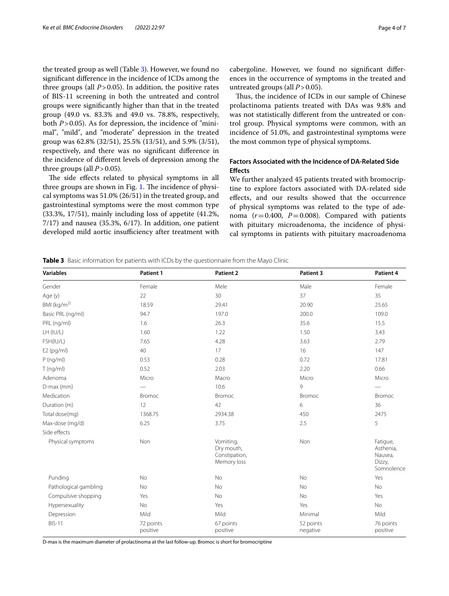the treated group as well (Table [3\)](#page-3-0). However, we found no signifcant diference in the incidence of ICDs among the three groups (all  $P > 0.05$ ). In addition, the positive rates of BIS-11 screening in both the untreated and control groups were signifcantly higher than that in the treated group (49.0 vs. 83.3% and 49.0 vs. 78.8%, respectively, both *P*>0.05). As for depression, the incidence of "minimal", "mild", and "moderate" depression in the treated group was 62.8% (32/51), 25.5% (13/51), and 5.9% (3/51), respectively, and there was no signifcant diference in the incidence of diferent levels of depression among the three groups (all  $P > 0.05$ ).

The side effects related to physical symptoms in all three groups are shown in Fig. [1.](#page-4-0) The incidence of physical symptoms was 51.0% (26/51) in the treated group, and gastrointestinal symptoms were the most common type (33.3%, 17/51), mainly including loss of appetite (41.2%,  $7/17$ ) and nausea (35.3%,  $6/17$ ). In addition, one patient developed mild aortic insufficiency after treatment with cabergoline. However, we found no signifcant diferences in the occurrence of symptoms in the treated and untreated groups (all  $P > 0.05$ ).

Thus, the incidence of ICDs in our sample of Chinese prolactinoma patients treated with DAs was 9.8% and was not statistically diferent from the untreated or control group. Physical symptoms were common, with an incidence of 51.0%, and gastrointestinal symptoms were the most common type of physical symptoms.

## **Factors Associated with the Incidence of DA‑Related Side Efects**

We further analyzed 45 patients treated with bromocriptine to explore factors associated with DA-related side efects, and our results showed that the occurrence of physical symptoms was related to the type of adenoma  $(r=0.400, P=0.008)$ . Compared with patients with pituitary microadenoma, the incidence of physical symptoms in patients with pituitary macroadenoma

<span id="page-3-0"></span>**Table 3** Basic information for patients with ICDs by the questionnaire from the Mayo Clinic

| <b>Variables</b>      | Patient 1             | Patient 2                                               | Patient 3             | Patient 4                                                |
|-----------------------|-----------------------|---------------------------------------------------------|-----------------------|----------------------------------------------------------|
| Gender                | Female                | Mele                                                    | Male                  | Female                                                   |
| Age (y)               | 22                    | 30                                                      | 37                    | 35                                                       |
| BMI ( $kg/m2$ )       | 18.59                 | 29.41                                                   | 20.90                 | 25.65                                                    |
| Basic PRL (ng/ml)     | 94.7                  | 197.0                                                   | 200.0                 | 109.0                                                    |
| PRL (ng/ml)           | 1.6                   | 26.3                                                    | 35.6                  | 15.5                                                     |
| LH (IU/L)             | 1.60                  | 1.22                                                    | 1.50                  | 3.43                                                     |
| FSH(IU/L)             | 7.65                  | 4.28                                                    | 3.63                  | 2.79                                                     |
| $E2$ (pg/ml)          | 40                    | 17                                                      | 16                    | 147                                                      |
| $P$ (ng/ml)           | 0.53                  | 0.28                                                    | 0.72                  | 17.81                                                    |
| T(ng/ml)              | 0.52                  | 2.03                                                    | 2.20                  | 0.66                                                     |
| Adenoma               | Micro                 | Macro                                                   | Micro                 | Micro                                                    |
| D-max (mm)            |                       | 10.6                                                    | 9                     |                                                          |
| Medication            | <b>Bromoc</b>         | <b>Bromoc</b>                                           | <b>Bromoc</b>         | <b>Bromoc</b>                                            |
| Duration (m)          | 12                    | 42                                                      | 6                     | 36                                                       |
| Total dose(mg)        | 1368.75               | 2934.38                                                 | 450                   | 2475                                                     |
| Max-dose (mg/d)       | 6.25                  | 3.75                                                    | 2.5                   | 5                                                        |
| Side effects          |                       |                                                         |                       |                                                          |
| Physical symptoms     | <b>Non</b>            | Vomiting,<br>Dry mouth,<br>Constipation,<br>Memory loss | Non                   | Fatigue,<br>Asthenia,<br>Nausea,<br>Dizzy,<br>Somnolence |
| Punding               | No                    | No                                                      | <b>No</b>             | Yes                                                      |
| Pathological gambling | <b>No</b>             | <b>No</b>                                               | <b>No</b>             | <b>No</b>                                                |
| Compulsive shopping   | Yes                   | No                                                      | <b>No</b>             | Yes                                                      |
| Hypersexuality        | No                    | Yes                                                     | Yes                   | No                                                       |
| Depression            | Mild                  | Mild                                                    | Minimal               | Mild                                                     |
| <b>BIS-11</b>         | 72 points<br>positive | 67 points<br>positive                                   | 52 points<br>negative | 76 points<br>positive                                    |

D-max is the maximum diameter of prolactinoma at the last follow-up. Bromoc is short for bromocriptine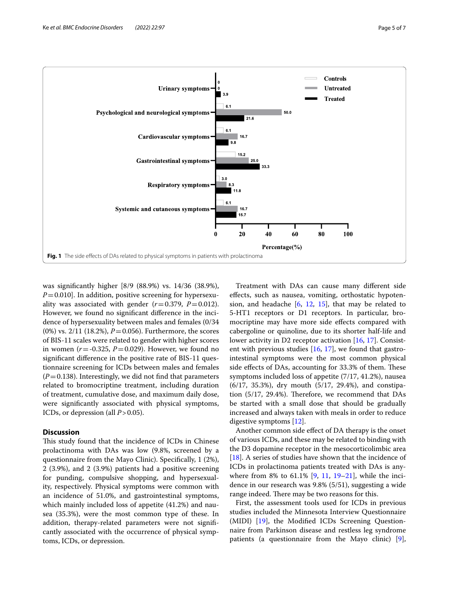

<span id="page-4-0"></span>was signifcantly higher [8/9 (88.9%) vs. 14/36 (38.9%),  $P=0.010$ . In addition, positive screening for hypersexuality was associated with gender  $(r=0.379, P=0.012)$ . However, we found no signifcant diference in the incidence of hypersexuality between males and females (0/34  $(0\%)$  vs. 2/11 (18.2%),  $P = 0.056$ ). Furthermore, the scores of BIS-11 scales were related to gender with higher scores in women  $(r = -0.325, P = 0.029)$ . However, we found no signifcant diference in the positive rate of BIS-11 questionnaire screening for ICDs between males and females  $(P=0.138)$ . Interestingly, we did not find that parameters related to bromocriptine treatment, including duration of treatment, cumulative dose, and maximum daily dose, were signifcantly associated with physical symptoms, ICDs, or depression (all *P*>0.05).

#### **Discussion**

This study found that the incidence of ICDs in Chinese prolactinoma with DAs was low (9.8%, screened by a questionnaire from the Mayo Clinic). Specifcally, 1 (2%), 2 (3.9%), and 2 (3.9%) patients had a positive screening for punding, compulsive shopping, and hypersexuality, respectively. Physical symptoms were common with an incidence of 51.0%, and gastrointestinal symptoms, which mainly included loss of appetite (41.2%) and nausea (35.3%), were the most common type of these. In addition, therapy-related parameters were not signifcantly associated with the occurrence of physical symptoms, ICDs, or depression.

Treatment with DAs can cause many diferent side efects, such as nausea, vomiting, orthostatic hypotension, and headache  $[6, 12, 15]$  $[6, 12, 15]$  $[6, 12, 15]$  $[6, 12, 15]$  $[6, 12, 15]$  $[6, 12, 15]$ , that may be related to 5-HT1 receptors or D1 receptors. In particular, bromocriptine may have more side efects compared with cabergoline or quinoline, due to its shorter half-life and lower activity in D2 receptor activation [[16,](#page-6-15) [17](#page-6-16)]. Consistent with previous studies  $[16, 17]$  $[16, 17]$  $[16, 17]$  $[16, 17]$ , we found that gastrointestinal symptoms were the most common physical side effects of DAs, accounting for 33.3% of them. These symptoms included loss of appetite (7/17, 41.2%), nausea (6/17, 35.3%), dry mouth (5/17, 29.4%), and constipation  $(5/17, 29.4%)$ . Therefore, we recommend that DAs be started with a small dose that should be gradually increased and always taken with meals in order to reduce digestive symptoms [[12](#page-6-11)].

Another common side efect of DA therapy is the onset of various ICDs, and these may be related to binding with the D3 dopamine receptor in the mesocorticolimbic area [[18\]](#page-6-17). A series of studies have shown that the incidence of ICDs in prolactinoma patients treated with DAs is anywhere from 8% to 61.1% [[9,](#page-6-8) [11](#page-6-10), [19](#page-6-18)[–21](#page-6-19)], while the incidence in our research was 9.8% (5/51), suggesting a wide range indeed. There may be two reasons for this.

First, the assessment tools used for ICDs in previous studies included the Minnesota Interview Questionnaire (MIDI) [[19](#page-6-18)], the Modifed ICDs Screening Questionnaire from Parkinson disease and restless leg syndrome patients (a questionnaire from the Mayo clinic)  $[9]$  $[9]$ ,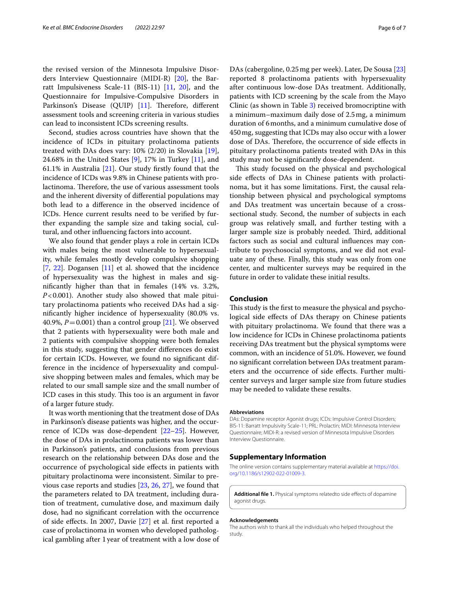the revised version of the Minnesota Impulsive Disorders Interview Questionnaire (MIDI-R) [\[20](#page-6-20)], the Barratt Impulsiveness Scale-11 (BIS-11) [\[11](#page-6-10), [20](#page-6-20)], and the Questionnaire for Impulsive-Compulsive Disorders in Parkinson's Disease (QUIP) [\[11\]](#page-6-10). Therefore, different assessment tools and screening criteria in various studies can lead to inconsistent ICDs screening results.

Second, studies across countries have shown that the incidence of ICDs in pituitary prolactinoma patients treated with DAs does vary: 10% (2/20) in Slovakia [\[19](#page-6-18)], 24.68% in the United States [[9\]](#page-6-8), 17% in Turkey [[11\]](#page-6-10), and 61.1% in Australia  $[21]$  $[21]$ . Our study firstly found that the incidence of ICDs was 9.8% in Chinese patients with prolactinoma. Therefore, the use of various assessment tools and the inherent diversity of diferential populations may both lead to a diference in the observed incidence of ICDs. Hence current results need to be verifed by further expanding the sample size and taking social, cultural, and other infuencing factors into account.

We also found that gender plays a role in certain ICDs with males being the most vulnerable to hypersexuality, while females mostly develop compulsive shopping [[7,](#page-6-6) [22\]](#page-6-21). Dogansen [[11\]](#page-6-10) et al. showed that the incidence of hypersexuality was the highest in males and signifcantly higher than that in females (14% vs. 3.2%, *P*<0.001). Another study also showed that male pituitary prolactinoma patients who received DAs had a signifcantly higher incidence of hypersexuality (80.0% vs. 40.9%,  $P = 0.001$ ) than a control group [\[21\]](#page-6-19). We observed that 2 patients with hypersexuality were both male and 2 patients with compulsive shopping were both females in this study, suggesting that gender diferences do exist for certain ICDs. However, we found no signifcant difference in the incidence of hypersexuality and compulsive shopping between males and females, which may be related to our small sample size and the small number of ICD cases in this study. This too is an argument in favor of a larger future study.

It was worth mentioning that the treatment dose of DAs in Parkinson's disease patients was higher, and the occurrence of ICDs was dose-dependent [\[22](#page-6-21)[–25\]](#page-6-22). However, the dose of DAs in prolactinoma patients was lower than in Parkinson's patients, and conclusions from previous research on the relationship between DAs dose and the occurrence of psychological side efects in patients with pituitary prolactinoma were inconsistent. Similar to previous case reports and studies [[23,](#page-6-23) [26,](#page-6-24) [27](#page-6-25)], we found that the parameters related to DA treatment, including duration of treatment, cumulative dose, and maximum daily dose, had no signifcant correlation with the occurrence of side efects. In 2007, Davie [\[27](#page-6-25)] et al. frst reported a case of prolactinoma in women who developed pathological gambling after 1 year of treatment with a low dose of

DAs (cabergoline, 0.25mg per week). Later, De Sousa [[23](#page-6-23)] reported 8 prolactinoma patients with hypersexuality after continuous low-dose DAs treatment. Additionally, patients with ICD screening by the scale from the Mayo Clinic (as shown in Table [3\)](#page-3-0) received bromocriptine with a minimum–maximum daily dose of 2.5mg, a minimum duration of 6months, and a minimum cumulative dose of 450mg, suggesting that ICDs may also occur with a lower dose of DAs. Therefore, the occurrence of side effects in pituitary prolactinoma patients treated with DAs in this study may not be signifcantly dose-dependent.

This study focused on the physical and psychological side efects of DAs in Chinese patients with prolactinoma, but it has some limitations. First, the causal relationship between physical and psychological symptoms and DAs treatment was uncertain because of a crosssectional study. Second, the number of subjects in each group was relatively small, and further testing with a larger sample size is probably needed. Third, additional factors such as social and cultural infuences may contribute to psychosocial symptoms, and we did not evaluate any of these. Finally, this study was only from one center, and multicenter surveys may be required in the future in order to validate these initial results.

## **Conclusion**

This study is the first to measure the physical and psychological side efects of DAs therapy on Chinese patients with pituitary prolactinoma. We found that there was a low incidence for ICDs in Chinese prolactinoma patients receiving DAs treatment but the physical symptoms were common, with an incidence of 51.0%. However, we found no signifcant correlation between DAs treatment parameters and the occurrence of side efects. Further multicenter surveys and larger sample size from future studies may be needed to validate these results.

#### **Abbreviations**

DAs: Dopamine receptor Agonist drugs; ICDs: Impulsive Control Disorders; BIS-11: Barratt Impulsivity Scale-11; PRL: Prolactin; MIDI: Minnesota Interview Questionnaire; MIDI-R: a revised version of Minnesota Impulsive Disorders Interview Questionnaire.

#### **Supplementary Information**

The online version contains supplementary material available at [https://doi.](https://doi.org/10.1186/s12902-022-01009-3) [org/10.1186/s12902-022-01009-3](https://doi.org/10.1186/s12902-022-01009-3).

<span id="page-5-0"></span>Additional file 1. Physical symptoms relatedto side effects of dopamine agonist drugs.

#### **Acknowledgements**

The authors wish to thank all the individuals who helped throughout the study.